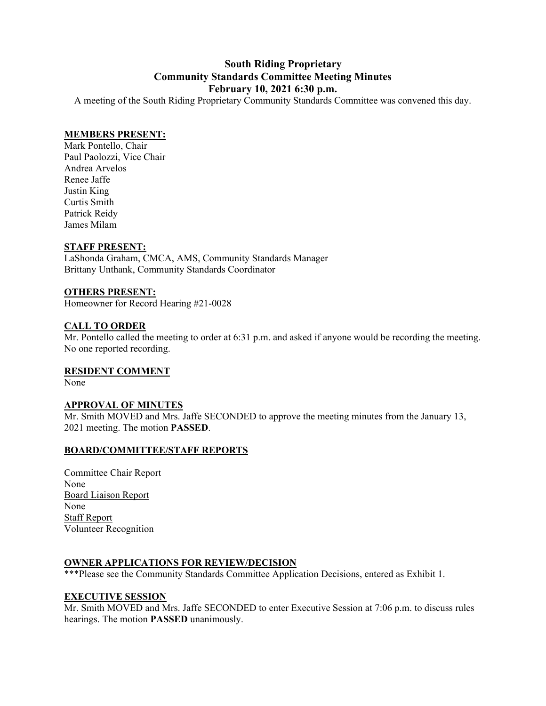#### **South Riding Proprietary Community Standards Committee Meeting Minutes February 10, 2021 6:30 p.m.**

A meeting of the South Riding Proprietary Community Standards Committee was convened this day.

#### **MEMBERS PRESENT:**

Mark Pontello, Chair Paul Paolozzi, Vice Chair Andrea Arvelos Renee Jaffe Justin King Curtis Smith Patrick Reidy James Milam

#### **STAFF PRESENT:**

LaShonda Graham, CMCA, AMS, Community Standards Manager Brittany Unthank, Community Standards Coordinator

#### **OTHERS PRESENT:**

Homeowner for Record Hearing #21-0028

#### **CALL TO ORDER**

Mr. Pontello called the meeting to order at 6:31 p.m. and asked if anyone would be recording the meeting. No one reported recording.

#### **RESIDENT COMMENT**

None

#### **APPROVAL OF MINUTES**

Mr. Smith MOVED and Mrs. Jaffe SECONDED to approve the meeting minutes from the January 13, 2021 meeting. The motion **PASSED**.

#### **BOARD/COMMITTEE/STAFF REPORTS**

Committee Chair Report None Board Liaison Report None Staff Report Volunteer Recognition

#### **OWNER APPLICATIONS FOR REVIEW/DECISION**

\*\*\*Please see the Community Standards Committee Application Decisions, entered as Exhibit 1.

#### **EXECUTIVE SESSION**

Mr. Smith MOVED and Mrs. Jaffe SECONDED to enter Executive Session at 7:06 p.m. to discuss rules hearings. The motion **PASSED** unanimously.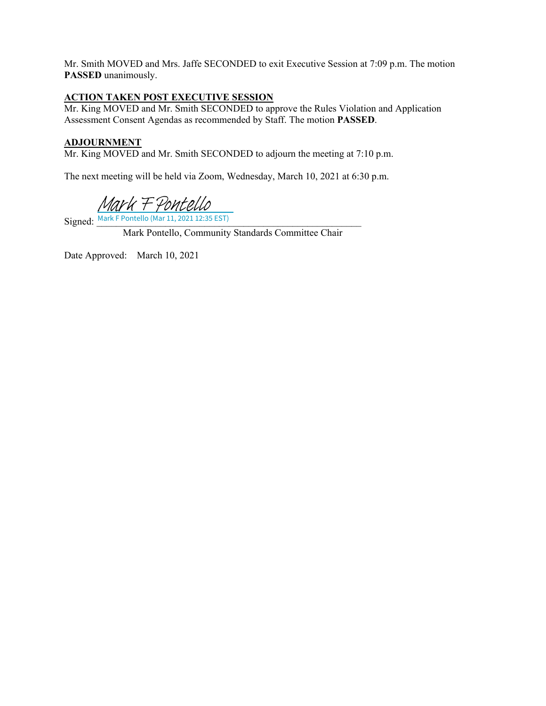Mr. Smith MOVED and Mrs. Jaffe SECONDED to exit Executive Session at 7:09 p.m. The motion **PASSED** unanimously.

#### **ACTION TAKEN POST EXECUTIVE SESSION**

Mr. King MOVED and Mr. Smith SECONDED to approve the Rules Violation and Application Assessment Consent Agendas as recommended by Staff. The motion **PASSED**.

#### **ADJOURNMENT**

Mr. King MOVED and Mr. Smith SECONDED to adjourn the meeting at 7:10 p.m.

The next meeting will be held via Zoom, Wednesday, March 10, 2021 at 6:30 p.m.

[Mark F Pontello](https://na2.documents.adobe.com/verifier?tx=CBJCHBCAABAAyA-cjdmWGn-eVCnBDRSzme47VY3PrkPT)

 $Signed: \frac{Mark F$  Pontello (Mar 11, 2021 12:35 EST)

Mark Pontello, Community Standards Committee Chair

Date Approved: March 10, 2021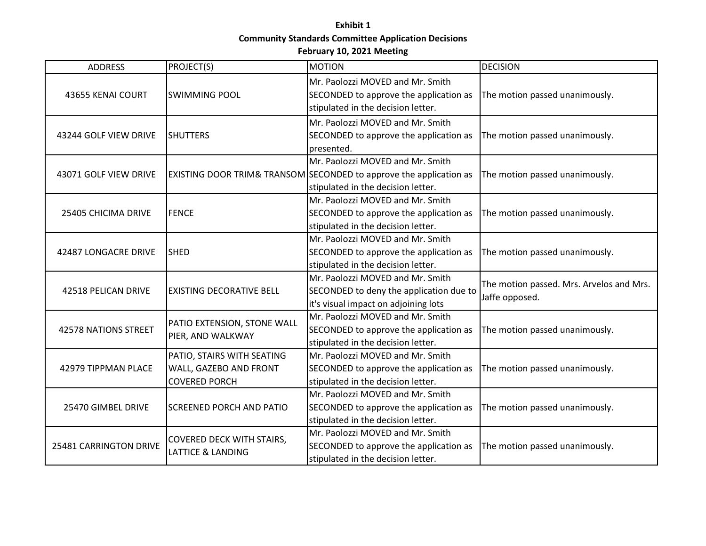### **Exhibit 1 Community Standards Committee Application Decisions**

#### **February 10, 2021 Meeting**

| <b>ADDRESS</b>              | PROJECT(S)                                                                   | <b>MOTION</b>                                                                                                                                | <b>DECISION</b>                                            |
|-----------------------------|------------------------------------------------------------------------------|----------------------------------------------------------------------------------------------------------------------------------------------|------------------------------------------------------------|
| 43655 KENAI COURT           | <b>SWIMMING POOL</b>                                                         | Mr. Paolozzi MOVED and Mr. Smith<br>SECONDED to approve the application as<br>stipulated in the decision letter.                             | The motion passed unanimously.                             |
| 43244 GOLF VIEW DRIVE       | <b>SHUTTERS</b>                                                              | Mr. Paolozzi MOVED and Mr. Smith<br>SECONDED to approve the application as<br>presented.                                                     | The motion passed unanimously.                             |
| 43071 GOLF VIEW DRIVE       |                                                                              | Mr. Paolozzi MOVED and Mr. Smith<br>EXISTING DOOR TRIM& TRANSOM SECONDED to approve the application as<br>stipulated in the decision letter. | The motion passed unanimously.                             |
| 25405 CHICIMA DRIVE         | <b>FENCE</b>                                                                 | Mr. Paolozzi MOVED and Mr. Smith<br>SECONDED to approve the application as<br>stipulated in the decision letter.                             | The motion passed unanimously.                             |
| 42487 LONGACRE DRIVE        | <b>SHED</b>                                                                  | Mr. Paolozzi MOVED and Mr. Smith<br>SECONDED to approve the application as<br>stipulated in the decision letter.                             | The motion passed unanimously.                             |
| 42518 PELICAN DRIVE         | <b>EXISTING DECORATIVE BELL</b>                                              | Mr. Paolozzi MOVED and Mr. Smith<br>SECONDED to deny the application due to<br>it's visual impact on adjoining lots                          | The motion passed. Mrs. Arvelos and Mrs.<br>Jaffe opposed. |
| <b>42578 NATIONS STREET</b> | PATIO EXTENSION, STONE WALL<br>PIER, AND WALKWAY                             | Mr. Paolozzi MOVED and Mr. Smith<br>SECONDED to approve the application as<br>stipulated in the decision letter.                             | The motion passed unanimously.                             |
| 42979 TIPPMAN PLACE         | PATIO, STAIRS WITH SEATING<br>WALL, GAZEBO AND FRONT<br><b>COVERED PORCH</b> | Mr. Paolozzi MOVED and Mr. Smith<br>SECONDED to approve the application as<br>stipulated in the decision letter.                             | The motion passed unanimously.                             |
| 25470 GIMBEL DRIVE          | <b>SCREENED PORCH AND PATIO</b>                                              | Mr. Paolozzi MOVED and Mr. Smith<br>SECONDED to approve the application as<br>stipulated in the decision letter.                             | The motion passed unanimously.                             |
| 25481 CARRINGTON DRIVE      | COVERED DECK WITH STAIRS,<br><b>LATTICE &amp; LANDING</b>                    | Mr. Paolozzi MOVED and Mr. Smith<br>SECONDED to approve the application as<br>stipulated in the decision letter.                             | The motion passed unanimously.                             |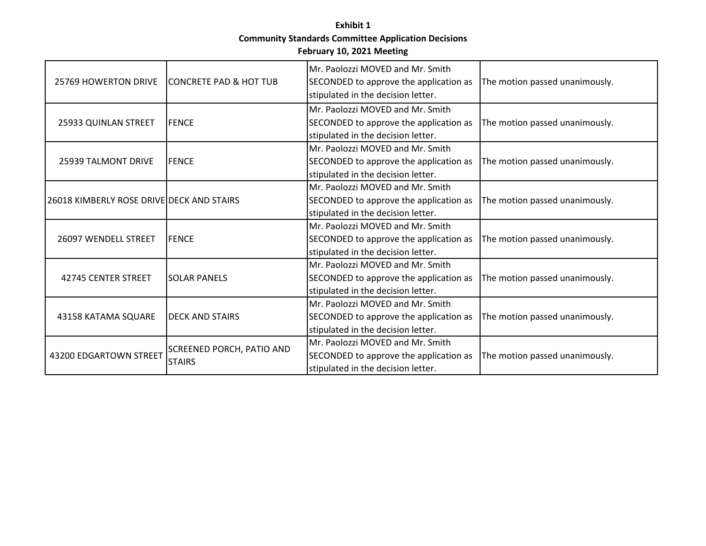#### **Exhibit 1 Community Standards Committee Application Decisions February 10, 2021 Meeting**

| 25769 HOWERTON DRIVE                      | <b>ICONCRETE PAD &amp; HOT TUB</b>         | Mr. Paolozzi MOVED and Mr. Smith<br>SECONDED to approve the application as<br>stipulated in the decision letter. | The motion passed unanimously. |
|-------------------------------------------|--------------------------------------------|------------------------------------------------------------------------------------------------------------------|--------------------------------|
| 25933 QUINLAN STREET                      | <b>FENCE</b>                               | Mr. Paolozzi MOVED and Mr. Smith<br>SECONDED to approve the application as<br>stipulated in the decision letter. | The motion passed unanimously. |
| 25939 TALMONT DRIVE                       | <b>FENCE</b>                               | Mr. Paolozzi MOVED and Mr. Smith<br>SECONDED to approve the application as<br>stipulated in the decision letter. | The motion passed unanimously. |
| 26018 KIMBERLY ROSE DRIVE DECK AND STAIRS |                                            | Mr. Paolozzi MOVED and Mr. Smith<br>SECONDED to approve the application as<br>stipulated in the decision letter. | The motion passed unanimously. |
| 26097 WENDELL STREET                      | <b>FENCE</b>                               | Mr. Paolozzi MOVED and Mr. Smith<br>SECONDED to approve the application as<br>stipulated in the decision letter. | The motion passed unanimously. |
| 42745 CENTER STREET                       | <b>SOLAR PANELS</b>                        | Mr. Paolozzi MOVED and Mr. Smith<br>SECONDED to approve the application as<br>stipulated in the decision letter. | The motion passed unanimously. |
| 43158 KATAMA SQUARE                       | <b>DECK AND STAIRS</b>                     | Mr. Paolozzi MOVED and Mr. Smith<br>SECONDED to approve the application as<br>stipulated in the decision letter. | The motion passed unanimously. |
| 43200 EDGARTOWN STREET                    | SCREENED PORCH, PATIO AND<br><b>STAIRS</b> | Mr. Paolozzi MOVED and Mr. Smith<br>SECONDED to approve the application as<br>stipulated in the decision letter. | The motion passed unanimously. |